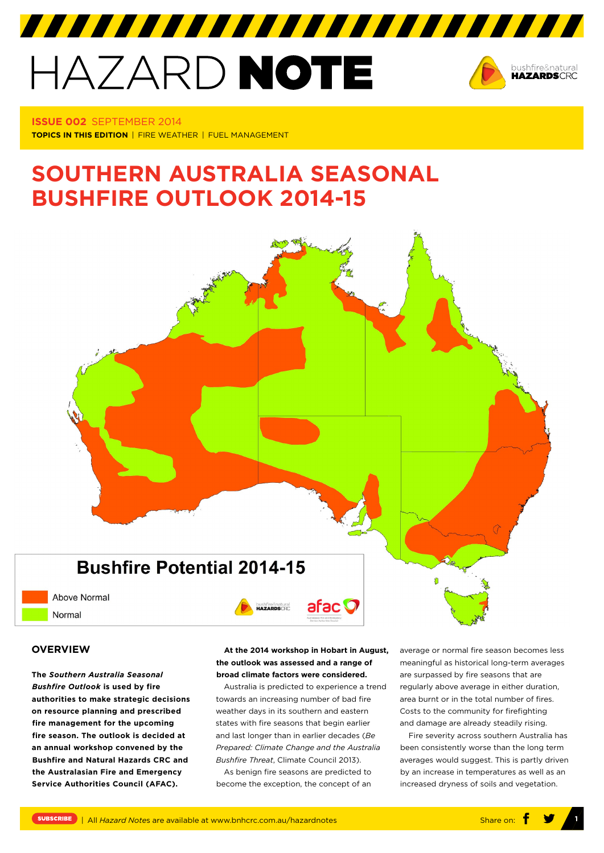# HAZARD NOTE



**Issue 002** september 2014 **TOPICS IN THIS EDITION** | FIRE WEATHER | FUEL MANAGEMENT

# **southern AUSTRALIA SEASONAL BUSHFIRE OUTLOOK 2014-15**

7777777777777777777777777777777



**Above Normal** Normal

### **OVERVIEW**

**The** *Southern Australia Seasonal Bushfire Outlook* **is used by fire authorities to make strategic decisions on resource planning and prescribed fire management for the upcoming fire season. The outlook is decided at an annual workshop convened by the Bushfire and Natural Hazards CRC and the Australasian Fire and Emergency Service Authorities Council (AFAC).**

**At the 2014 workshop in Hobart in August, the outlook was assessed and a range of broad climate factors were considered.**

bushfire&natural

afac **O** 

Australia is predicted to experience a trend towards an increasing number of bad fire weather days in its southern and eastern states with fire seasons that begin earlier and last longer than in earlier decades (*Be Prepared: Climate Change and the Australia Bushfire Threat*, Climate Council 2013).

As benign fire seasons are predicted to become the exception, the concept of an average or normal fire season becomes less meaningful as historical long-term averages are surpassed by fire seasons that are regularly above average in either duration, area burnt or in the total number of fires. Costs to the community for firefighting and damage are already steadily rising.

Fire severity across southern Australia has been consistently worse than the long term averages would suggest. This is partly driven by an increase in temperatures as well as an increased dryness of soils and vegetation.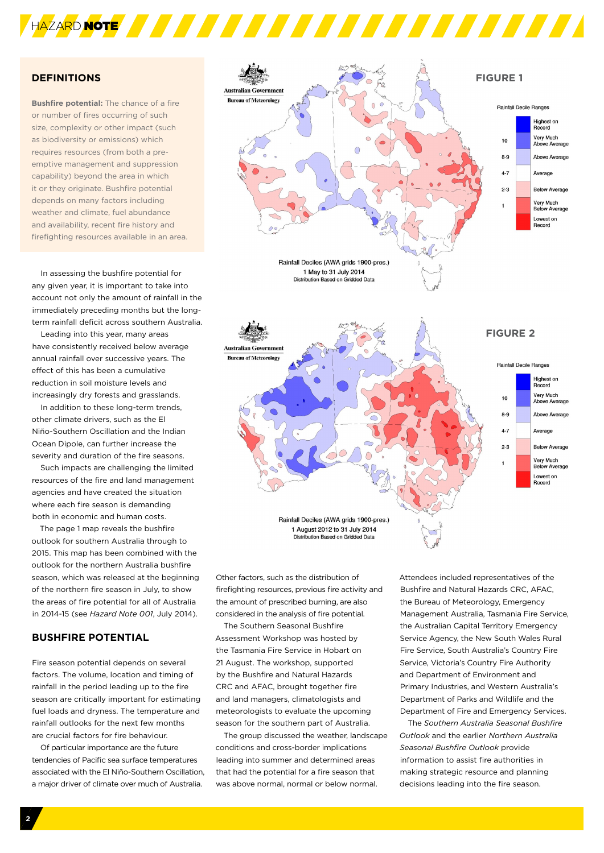

# **DEFINITIONS**

**Bushfire potential:** The chance of a fire or number of fires occurring of such size, complexity or other impact (such as biodiversity or emissions) which requires resources (from both a preemptive management and suppression capability) beyond the area in which it or they originate. Bushfire potential depends on many factors including weather and climate, fuel abundance and availability, recent fire history and firefighting resources available in an area.

In assessing the bushfire potential for any given year, it is important to take into account not only the amount of rainfall in the immediately preceding months but the longterm rainfall deficit across southern Australia.

Leading into this year, many areas have consistently received below average annual rainfall over successive years. The effect of this has been a cumulative reduction in soil moisture levels and increasingly dry forests and grasslands.

In addition to these long-term trends, other climate drivers, such as the El Niño-Southern Oscillation and the Indian Ocean Dipole, can further increase the severity and duration of the fire seasons.

Such impacts are challenging the limited resources of the fire and land management agencies and have created the situation where each fire season is demanding both in economic and human costs.

The page 1 map reveals the bushfire outlook for southern Australia through to 2015. This map has been combined with the outlook for the northern Australia bushfire season, which was released at the beginning of the northern fire season in July, to show the areas of fire potential for all of Australia in 2014-15 (see *Hazard Note 001*, July 2014).

# **Bushfire Potential**

Fire season potential depends on several factors. The volume, location and timing of rainfall in the period leading up to the fire season are critically important for estimating fuel loads and dryness. The temperature and rainfall outlooks for the next few months are crucial factors for fire behaviour.

Of particular importance are the future tendencies of Pacific sea surface temperatures associated with the El Niño-Southern Oscillation, a major driver of climate over much of Australia.



Other factors, such as the distribution of firefighting resources, previous fire activity and the amount of prescribed burning, are also considered in the analysis of fire potential.

The Southern Seasonal Bushfire Assessment Workshop was hosted by the Tasmania Fire Service in Hobart on 21 August. The workshop, supported by the Bushfire and Natural Hazards CRC and AFAC, brought together fire and land managers, climatologists and meteorologists to evaluate the upcoming season for the southern part of Australia.

The group discussed the weather, landscape conditions and cross-border implications leading into summer and determined areas that had the potential for a fire season that was above normal, normal or below normal.

Attendees included representatives of the Bushfire and Natural Hazards CRC, AFAC, the Bureau of Meteorology, Emergency Management Australia, Tasmania Fire Service, the Australian Capital Territory Emergency Service Agency, the New South Wales Rural Fire Service, South Australia's Country Fire Service, Victoria's Country Fire Authority and Department of Environment and Primary Industries, and Western Australia's Department of Parks and Wildlife and the Department of Fire and Emergency Services.

The *Southern Australia Seasonal Bushfire Outlook* and the earlier *Northern Australia Seasonal Bushfire Outlook* provide information to assist fire authorities in making strategic resource and planning decisions leading into the fire season.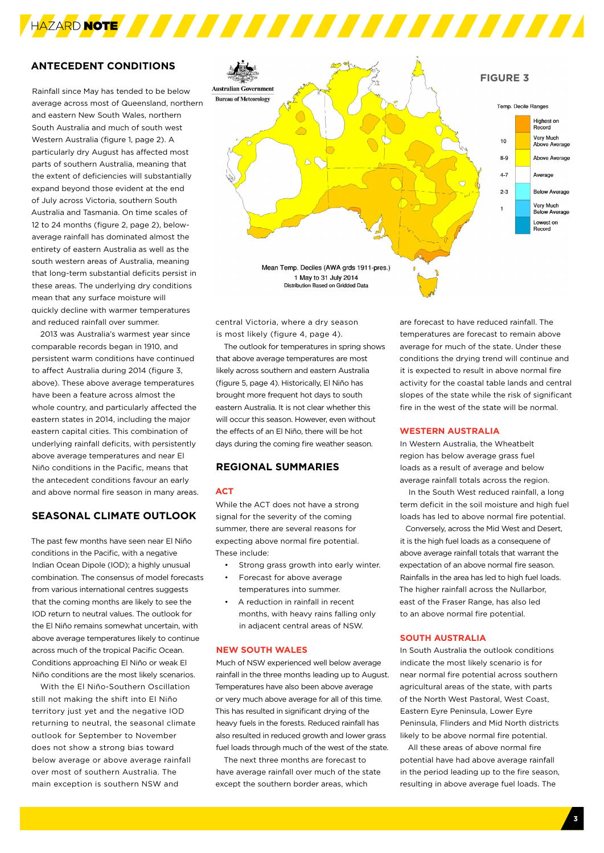# **ANTECEDENT CONDITIONS**

Rainfall since May has tended to be below average across most of Queensland, northern and eastern New South Wales, northern South Australia and much of south west Western Australia (figure 1, page 2). A particularly dry August has affected most parts of southern Australia, meaning that the extent of deficiencies will substantially expand beyond those evident at the end of July across Victoria, southern South Australia and Tasmania. On time scales of 12 to 24 months (figure 2, page 2), belowaverage rainfall has dominated almost the entirety of eastern Australia as well as the south western areas of Australia, meaning that long-term substantial deficits persist in these areas. The underlying dry conditions mean that any surface moisture will quickly decline with warmer temperatures and reduced rainfall over summer.

2013 was Australia's warmest year since comparable records began in 1910, and persistent warm conditions have continued to affect Australia during 2014 (figure 3, above). These above average temperatures have been a feature across almost the whole country, and particularly affected the eastern states in 2014, including the major eastern capital cities. This combination of underlying rainfall deficits, with persistently above average temperatures and near El Niño conditions in the Pacific, means that the antecedent conditions favour an early and above normal fire season in many areas.

# **SEASONAL CLIMATE OUTLOOK**

The past few months have seen near El Niño conditions in the Pacific, with a negative Indian Ocean Dipole (IOD); a highly unusual combination. The consensus of model forecasts from various international centres suggests that the coming months are likely to see the IOD return to neutral values. The outlook for the El Niño remains somewhat uncertain, with above average temperatures likely to continue across much of the tropical Pacific Ocean. Conditions approaching El Niño or weak El Niño conditions are the most likely scenarios.

With the El Niño-Southern Oscillation still not making the shift into El Niño territory just yet and the negative IOD returning to neutral, the seasonal climate outlook for September to November does not show a strong bias toward below average or above average rainfall over most of southern Australia. The main exception is southern NSW and



central Victoria, where a dry season is most likely (figure 4, page 4).

The outlook for temperatures in spring shows that above average temperatures are most likely across southern and eastern Australia (figure 5, page 4). Historically, El Niño has brought more frequent hot days to south eastern Australia. It is not clear whether this will occur this season. However, even without the effects of an El Niño, there will be hot days during the coming fire weather season.

## **REGIONAL SUMMARIES**

#### **ACT**

While the ACT does not have a strong signal for the severity of the coming summer, there are several reasons for expecting above normal fire potential. These include:

- • Strong grass growth into early winter.
- Forecast for above average temperatures into summer.
- A reduction in rainfall in recent months, with heavy rains falling only in adjacent central areas of NSW.

#### **NEW SOUTH WALES**

Much of NSW experienced well below average rainfall in the three months leading up to August. Temperatures have also been above average or very much above average for all of this time. This has resulted in significant drying of the heavy fuels in the forests. Reduced rainfall has also resulted in reduced growth and lower grass fuel loads through much of the west of the state.

The next three months are forecast to have average rainfall over much of the state except the southern border areas, which

are forecast to have reduced rainfall. The temperatures are forecast to remain above average for much of the state. Under these conditions the drying trend will continue and it is expected to result in above normal fire activity for the coastal table lands and central slopes of the state while the risk of significant fire in the west of the state will be normal.

#### **WESTERN AUSTRALIA**

In Western Australia, the Wheatbelt region has below average grass fuel loads as a result of average and below average rainfall totals across the region.

In the South West reduced rainfall, a long term deficit in the soil moisture and high fuel loads has led to above normal fire potential.

Conversely, across the Mid West and Desert, it is the high fuel loads as a consequene of above average rainfall totals that warrant the expectation of an above normal fire season. Rainfalls in the area has led to high fuel loads. The higher rainfall across the Nullarbor east of the Fraser Range, has also led to an above normal fire potential.

#### **SOUTH AUSTRALIA**

In South Australia the outlook conditions indicate the most likely scenario is for near normal fire potential across southern agricultural areas of the state, with parts of the North West Pastoral, West Coast, Eastern Eyre Peninsula, Lower Eyre Peninsula, Flinders and Mid North districts likely to be above normal fire potential.

All these areas of above normal fire potential have had above average rainfall in the period leading up to the fire season, resulting in above average fuel loads. The